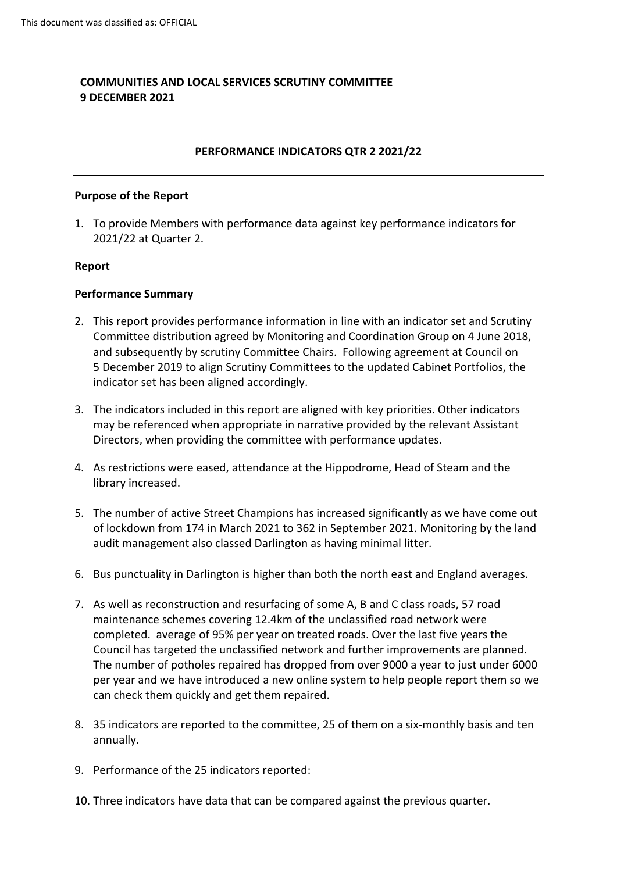# **COMMUNITIES AND LOCAL SERVICES SCRUTINY COMMITTEE 9 DECEMBER 2021**

### **PERFORMANCE INDICATORS QTR 2 2021/22**

#### **Purpose of the Report**

1. To provide Members with performance data against key performance indicators for 2021/22 at Quarter 2.

#### **Report**

#### **Performance Summary**

- 2. This report provides performance information in line with an indicator set and Scrutiny Committee distribution agreed by Monitoring and Coordination Group on 4 June 2018, and subsequently by scrutiny Committee Chairs. Following agreement at Council on 5 December 2019 to align Scrutiny Committees to the updated Cabinet Portfolios, the indicator set has been aligned accordingly.
- 3. The indicators included in this report are aligned with key priorities. Other indicators may be referenced when appropriate in narrative provided by the relevant Assistant Directors, when providing the committee with performance updates.
- 4. As restrictions were eased, attendance at the Hippodrome, Head of Steam and the library increased.
- 5. The number of active Street Champions has increased significantly as we have come out of lockdown from 174 in March 2021 to 362 in September 2021. Monitoring by the land audit management also classed Darlington as having minimal litter.
- 6. Bus punctuality in Darlington is higher than both the north east and England averages.
- 7. As well as reconstruction and resurfacing of some A, B and C class roads, 57 road maintenance schemes covering 12.4km of the unclassified road network were completed. average of 95% per year on treated roads. Over the last five years the Council has targeted the unclassified network and further improvements are planned. The number of potholes repaired has dropped from over 9000 a year to just under 6000 per year and we have introduced a new online system to help people report them so we can check them quickly and get them repaired.
- 8. 35 indicators are reported to the committee, 25 of them on a six-monthly basis and ten annually.
- 9. Performance of the 25 indicators reported:
- 10. Three indicators have data that can be compared against the previous quarter.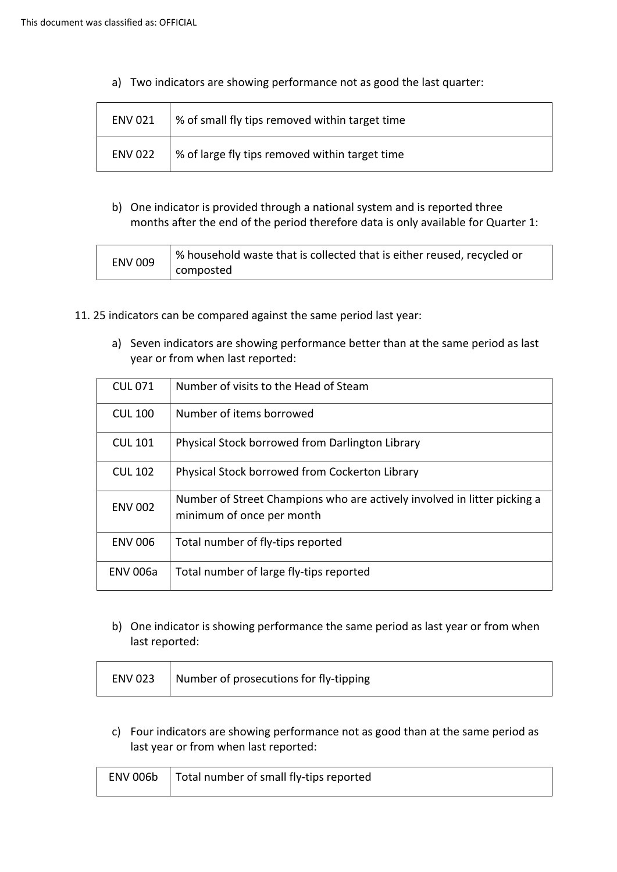a) Two indicators are showing performance not as good the last quarter:

| <b>ENV 021</b> | % of small fly tips removed within target time |
|----------------|------------------------------------------------|
| <b>ENV 022</b> | % of large fly tips removed within target time |

b) One indicator is provided through a national system and is reported three months after the end of the period therefore data is only available for Quarter 1:

| <b>ENV 009</b> | % household waste that is collected that is either reused, recycled or |
|----------------|------------------------------------------------------------------------|
|                | composted                                                              |

- 11. 25 indicators can be compared against the same period last year:
	- a) Seven indicators are showing performance better than at the same period as last year or from when last reported:

| <b>CUL 071</b>  | Number of visits to the Head of Steam                                                                 |
|-----------------|-------------------------------------------------------------------------------------------------------|
| <b>CUL 100</b>  | Number of items borrowed                                                                              |
| <b>CUL 101</b>  | Physical Stock borrowed from Darlington Library                                                       |
| <b>CUL 102</b>  | Physical Stock borrowed from Cockerton Library                                                        |
| <b>ENV 002</b>  | Number of Street Champions who are actively involved in litter picking a<br>minimum of once per month |
| <b>ENV 006</b>  | Total number of fly-tips reported                                                                     |
| <b>ENV 006a</b> | Total number of large fly-tips reported                                                               |

b) One indicator is showing performance the same period as last year or from when last reported:

| Number of prosecutions for fly-tipping<br><b>ENV 023</b> |
|----------------------------------------------------------|
|----------------------------------------------------------|

c) Four indicators are showing performance not as good than at the same period as last year or from when last reported:

| ENV 006b   Total number of small fly-tips reported |
|----------------------------------------------------|
|                                                    |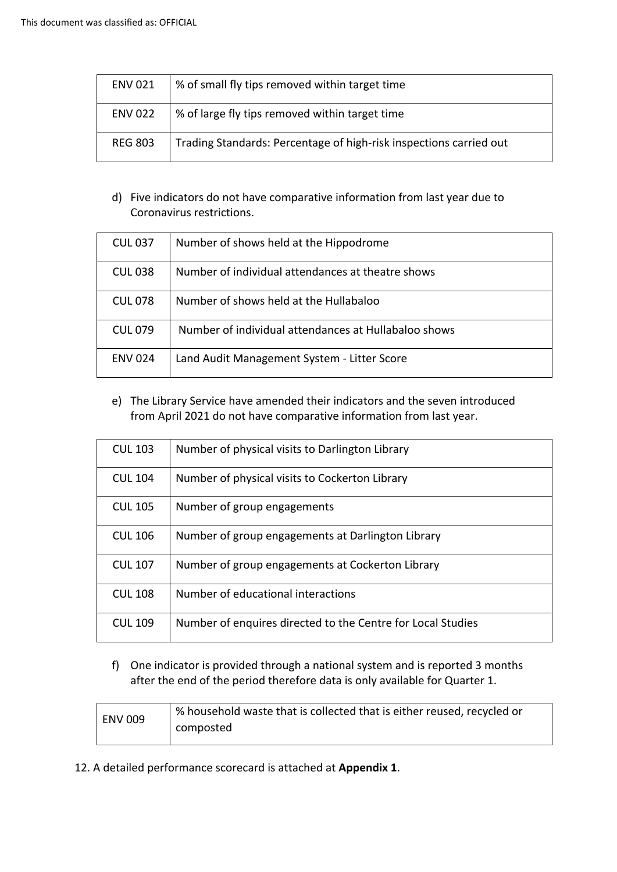| <b>ENV 021</b> | % of small fly tips removed within target time                     |
|----------------|--------------------------------------------------------------------|
| <b>ENV 022</b> | % of large fly tips removed within target time                     |
| <b>REG 803</b> | Trading Standards: Percentage of high-risk inspections carried out |

# d) Five indicators do not have comparative information from last year due to Coronavirus restrictions.

| <b>CUL 037</b> | Number of shows held at the Hippodrome               |
|----------------|------------------------------------------------------|
| <b>CUL 038</b> | Number of individual attendances at theatre shows    |
| CUL 078        | Number of shows held at the Hullabaloo               |
| CUL 079        | Number of individual attendances at Hullabaloo shows |
| <b>ENV 024</b> | Land Audit Management System - Litter Score          |

# e) The Library Service have amended their indicators and the seven introduced from April 2021 do not have comparative information from last year.

| <b>CUL 103</b> | Number of physical visits to Darlington Library             |
|----------------|-------------------------------------------------------------|
| <b>CUL 104</b> | Number of physical visits to Cockerton Library              |
| <b>CUL 105</b> | Number of group engagements                                 |
| <b>CUL 106</b> | Number of group engagements at Darlington Library           |
| <b>CUL 107</b> | Number of group engagements at Cockerton Library            |
| <b>CUL 108</b> | Number of educational interactions                          |
| <b>CUL 109</b> | Number of enquires directed to the Centre for Local Studies |

f) One indicator is provided through a national system and is reported 3 months after the end of the period therefore data is only available for Quarter 1.

| ENV 009 | % household waste that is collected that is either reused, recycled or |
|---------|------------------------------------------------------------------------|
|         | composted                                                              |
|         |                                                                        |

12. A detailed performance scorecard is attached at **Appendix 1**.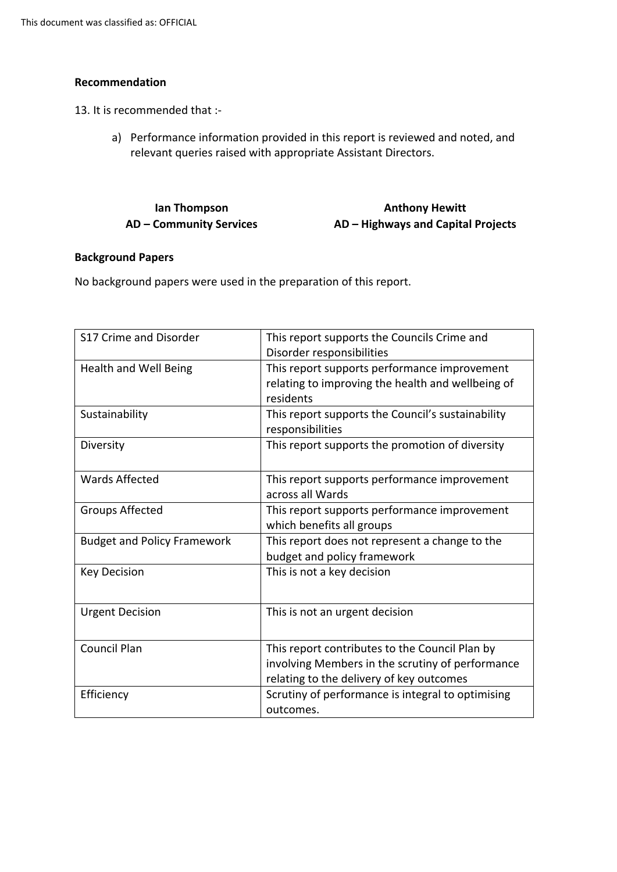### **Recommendation**

13. It is recommended that :-

a) Performance information provided in this report is reviewed and noted, and relevant queries raised with appropriate Assistant Directors.

| lan Thompson                   | <b>Anthony Hewitt</b>              |
|--------------------------------|------------------------------------|
| <b>AD – Community Services</b> | AD – Highways and Capital Projects |

### **Background Papers**

No background papers were used in the preparation of this report.

| S17 Crime and Disorder             | This report supports the Councils Crime and<br>Disorder responsibilities                                                                       |
|------------------------------------|------------------------------------------------------------------------------------------------------------------------------------------------|
| Health and Well Being              | This report supports performance improvement<br>relating to improving the health and wellbeing of<br>residents                                 |
| Sustainability                     | This report supports the Council's sustainability<br>responsibilities                                                                          |
| Diversity                          | This report supports the promotion of diversity                                                                                                |
| <b>Wards Affected</b>              | This report supports performance improvement<br>across all Wards                                                                               |
| Groups Affected                    | This report supports performance improvement<br>which benefits all groups                                                                      |
| <b>Budget and Policy Framework</b> | This report does not represent a change to the<br>budget and policy framework                                                                  |
| <b>Key Decision</b>                | This is not a key decision                                                                                                                     |
| <b>Urgent Decision</b>             | This is not an urgent decision                                                                                                                 |
| <b>Council Plan</b>                | This report contributes to the Council Plan by<br>involving Members in the scrutiny of performance<br>relating to the delivery of key outcomes |
| Efficiency                         | Scrutiny of performance is integral to optimising<br>outcomes.                                                                                 |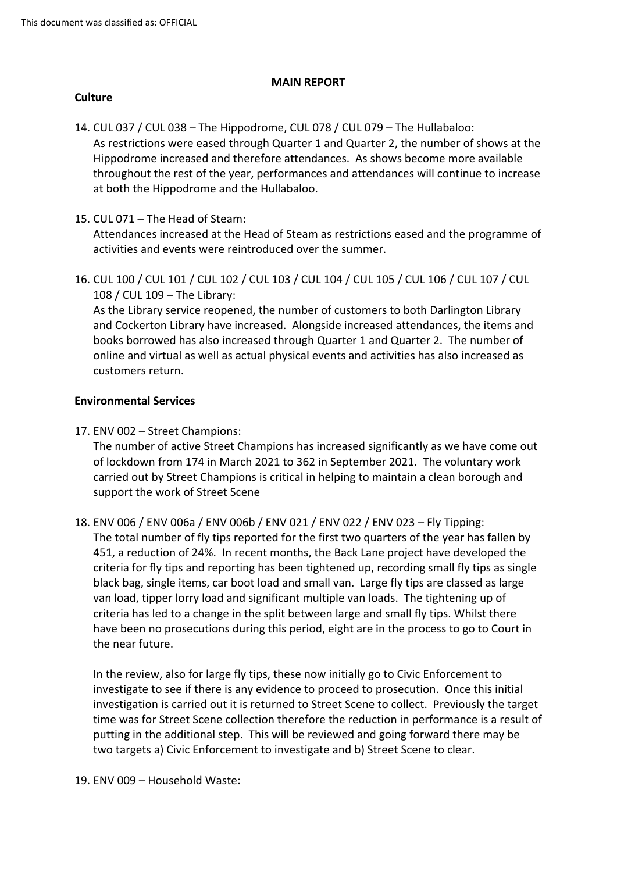### **MAIN REPORT**

### **Culture**

- 14. CUL 037 / CUL 038 The Hippodrome, CUL 078 / CUL 079 The Hullabaloo: As restrictions were eased through Quarter 1 and Quarter 2, the number of shows at the Hippodrome increased and therefore attendances. As shows become more available throughout the rest of the year, performances and attendances will continue to increase at both the Hippodrome and the Hullabaloo.
- 15. CUL 071 The Head of Steam:

Attendances increased at the Head of Steam as restrictions eased and the programme of activities and events were reintroduced over the summer.

16. CUL 100 / CUL 101 / CUL 102 / CUL 103 / CUL 104 / CUL 105 / CUL 106 / CUL 107 / CUL 108 / CUL 109 – The Library:

As the Library service reopened, the number of customers to both Darlington Library and Cockerton Library have increased. Alongside increased attendances, the items and books borrowed has also increased through Quarter 1 and Quarter 2. The number of online and virtual as well as actual physical events and activities has also increased as customers return.

### **Environmental Services**

17. ENV 002 – Street Champions:

The number of active Street Champions has increased significantly as we have come out of lockdown from 174 in March 2021 to 362 in September 2021. The voluntary work carried out by Street Champions is critical in helping to maintain a clean borough and support the work of Street Scene

18. ENV 006 / ENV 006a / ENV 006b / ENV 021 / ENV 022 / ENV 023 – Fly Tipping: The total number of fly tips reported for the first two quarters of the year has fallen by 451, a reduction of 24%. In recent months, the Back Lane project have developed the criteria for fly tips and reporting has been tightened up, recording small fly tips as single black bag, single items, car boot load and small van. Large fly tips are classed as large van load, tipper lorry load and significant multiple van loads. The tightening up of criteria has led to a change in the split between large and small fly tips. Whilst there have been no prosecutions during this period, eight are in the process to go to Court in the near future.

In the review, also for large fly tips, these now initially go to Civic Enforcement to investigate to see if there is any evidence to proceed to prosecution. Once this initial investigation is carried out it is returned to Street Scene to collect. Previously the target time was for Street Scene collection therefore the reduction in performance is a result of putting in the additional step. This will be reviewed and going forward there may be two targets a) Civic Enforcement to investigate and b) Street Scene to clear.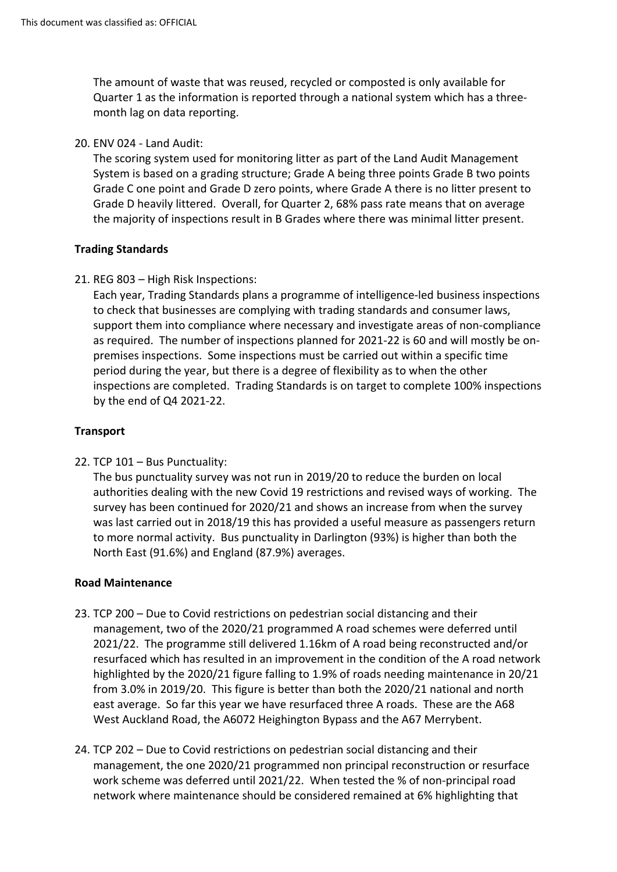The amount of waste that was reused, recycled or composted is only available for Quarter 1 as the information is reported through a national system which has a threemonth lag on data reporting.

20. ENV 024 - Land Audit:

The scoring system used for monitoring litter as part of the Land Audit Management System is based on a grading structure; Grade A being three points Grade B two points Grade C one point and Grade D zero points, where Grade A there is no litter present to Grade D heavily littered. Overall, for Quarter 2, 68% pass rate means that on average the majority of inspections result in B Grades where there was minimal litter present.

# **Trading Standards**

21. REG 803 – High Risk Inspections:

Each year, Trading Standards plans a programme of intelligence-led business inspections to check that businesses are complying with trading standards and consumer laws, support them into compliance where necessary and investigate areas of non-compliance as required. The number of inspections planned for 2021-22 is 60 and will mostly be onpremises inspections. Some inspections must be carried out within a specific time period during the year, but there is a degree of flexibility as to when the other inspections are completed. Trading Standards is on target to complete 100% inspections by the end of Q4 2021-22.

# **Transport**

22. TCP 101 – Bus Punctuality:

The bus punctuality survey was not run in 2019/20 to reduce the burden on local authorities dealing with the new Covid 19 restrictions and revised ways of working. The survey has been continued for 2020/21 and shows an increase from when the survey was last carried out in 2018/19 this has provided a useful measure as passengers return to more normal activity. Bus punctuality in Darlington (93%) is higher than both the North East (91.6%) and England (87.9%) averages.

# **Road Maintenance**

- 23. TCP 200 Due to Covid restrictions on pedestrian social distancing and their management, two of the 2020/21 programmed A road schemes were deferred until 2021/22. The programme still delivered 1.16km of A road being reconstructed and/or resurfaced which has resulted in an improvement in the condition of the A road network highlighted by the 2020/21 figure falling to 1.9% of roads needing maintenance in 20/21 from 3.0% in 2019/20. This figure is better than both the 2020/21 national and north east average. So far this year we have resurfaced three A roads. These are the A68 West Auckland Road, the A6072 Heighington Bypass and the A67 Merrybent.
- 24. TCP 202 Due to Covid restrictions on pedestrian social distancing and their management, the one 2020/21 programmed non principal reconstruction or resurface work scheme was deferred until 2021/22. When tested the % of non-principal road network where maintenance should be considered remained at 6% highlighting that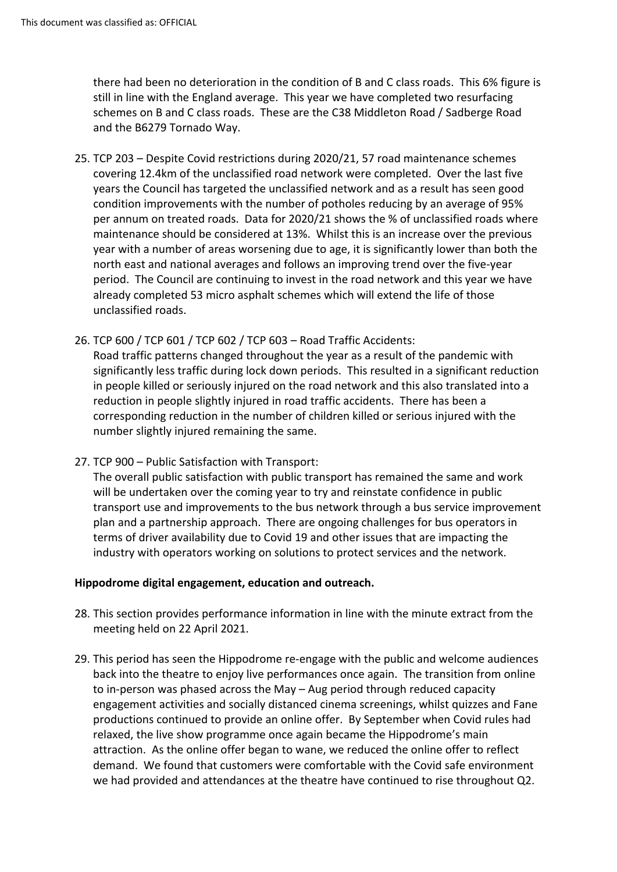there had been no deterioration in the condition of B and C class roads. This 6% figure is still in line with the England average. This year we have completed two resurfacing schemes on B and C class roads. These are the C38 Middleton Road / Sadberge Road and the B6279 Tornado Way.

- 25. TCP 203 Despite Covid restrictions during 2020/21, 57 road maintenance schemes covering 12.4km of the unclassified road network were completed. Over the last five years the Council has targeted the unclassified network and as a result has seen good condition improvements with the number of potholes reducing by an average of 95% per annum on treated roads. Data for 2020/21 shows the % of unclassified roads where maintenance should be considered at 13%. Whilst this is an increase over the previous year with a number of areas worsening due to age, it is significantly lower than both the north east and national averages and follows an improving trend over the five-year period. The Council are continuing to invest in the road network and this year we have already completed 53 micro asphalt schemes which will extend the life of those unclassified roads.
- 26. TCP 600 / TCP 601 / TCP 602 / TCP 603 Road Traffic Accidents:

Road traffic patterns changed throughout the year as a result of the pandemic with significantly less traffic during lock down periods. This resulted in a significant reduction in people killed or seriously injured on the road network and this also translated into a reduction in people slightly injured in road traffic accidents. There has been a corresponding reduction in the number of children killed or serious injured with the number slightly injured remaining the same.

27. TCP 900 – Public Satisfaction with Transport:

The overall public satisfaction with public transport has remained the same and work will be undertaken over the coming year to try and reinstate confidence in public transport use and improvements to the bus network through a bus service improvement plan and a partnership approach. There are ongoing challenges for bus operators in terms of driver availability due to Covid 19 and other issues that are impacting the industry with operators working on solutions to protect services and the network.

### **Hippodrome digital engagement, education and outreach.**

- 28. This section provides performance information in line with the minute extract from the meeting held on 22 April 2021.
- 29. This period has seen the Hippodrome re-engage with the public and welcome audiences back into the theatre to enjoy live performances once again. The transition from online to in-person was phased across the May – Aug period through reduced capacity engagement activities and socially distanced cinema screenings, whilst quizzes and Fane productions continued to provide an online offer. By September when Covid rules had relaxed, the live show programme once again became the Hippodrome's main attraction. As the online offer began to wane, we reduced the online offer to reflect demand. We found that customers were comfortable with the Covid safe environment we had provided and attendances at the theatre have continued to rise throughout Q2.